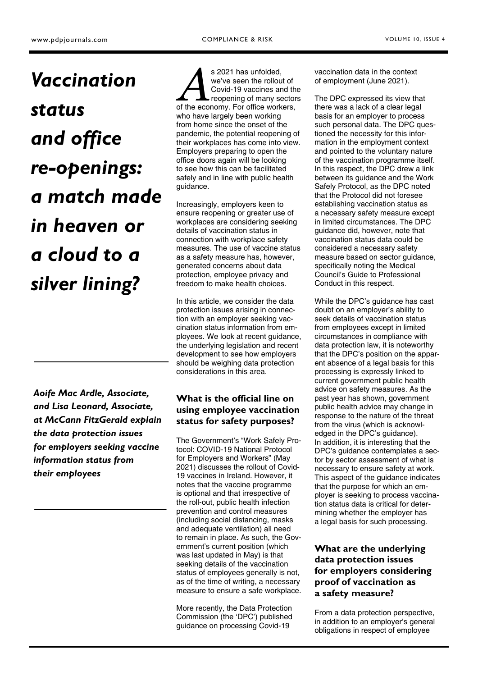# *Vaccination status and office re-openings: a match made in heaven or a cloud to a silver lining?*

*Aoife Mac Ardle, Associate, and Lisa Leonard, Associate, at McCann FitzGerald explain the data protection issues for employers seeking vaccine information status from their employees* 

s 2021 has unfolded,<br>
we've seen the rollout of<br>
Covid-19 vaccines and the<br>
reopening of many sector<br>
of the economy. For office workers, we've seen the rollout of Covid-19 vaccines and the reopening of many sectors who have largely been working from home since the onset of the pandemic, the potential reopening of their workplaces has come into view. Employers preparing to open the office doors again will be looking to see how this can be facilitated safely and in line with public health guidance.

Increasingly, employers keen to ensure reopening or greater use of workplaces are considering seeking details of vaccination status in connection with workplace safety measures. The use of vaccine status as a safety measure has, however, generated concerns about data protection, employee privacy and freedom to make health choices.

In this article, we consider the data protection issues arising in connection with an employer seeking vaccination status information from employees. We look at recent guidance, the underlying legislation and recent development to see how employers should be weighing data protection considerations in this area.

# **What is the official line on using employee vaccination status for safety purposes?**

The Government's "Work Safely Protocol: COVID-19 National Protocol for Employers and Workers" (May 2021) discusses the rollout of Covid-19 vaccines in Ireland. However, it notes that the vaccine programme is optional and that irrespective of the roll-out, public health infection prevention and control measures (including social distancing, masks and adequate ventilation) all need to remain in place. As such, the Government's current position (which was last updated in May) is that seeking details of the vaccination status of employees generally is not, as of the time of writing, a necessary measure to ensure a safe workplace.

More recently, the Data Protection Commission (the 'DPC') published guidance on processing Covid-19

vaccination data in the context of employment (June 2021).

The DPC expressed its view that there was a lack of a clear legal basis for an employer to process such personal data. The DPC questioned the necessity for this information in the employment context and pointed to the voluntary nature of the vaccination programme itself. In this respect, the DPC drew a link between its guidance and the Work Safely Protocol, as the DPC noted that the Protocol did not foresee establishing vaccination status as a necessary safety measure except in limited circumstances. The DPC guidance did, however, note that vaccination status data could be considered a necessary safety measure based on sector quidance. specifically noting the Medical Council's Guide to Professional Conduct in this respect.

While the DPC's guidance has cast doubt on an employer's ability to seek details of vaccination status from employees except in limited circumstances in compliance with data protection law, it is noteworthy that the DPC's position on the apparent absence of a legal basis for this processing is expressly linked to current government public health advice on safety measures. As the past year has shown, government public health advice may change in response to the nature of the threat from the virus (which is acknowledged in the DPC's guidance). In addition, it is interesting that the DPC's guidance contemplates a sector by sector assessment of what is necessary to ensure safety at work. This aspect of the guidance indicates that the purpose for which an employer is seeking to process vaccination status data is critical for determining whether the employer has a legal basis for such processing.

# **What are the underlying data protection issues for employers considering proof of vaccination as a safety measure?**

From a data protection perspective, in addition to an employer's general obligations in respect of employee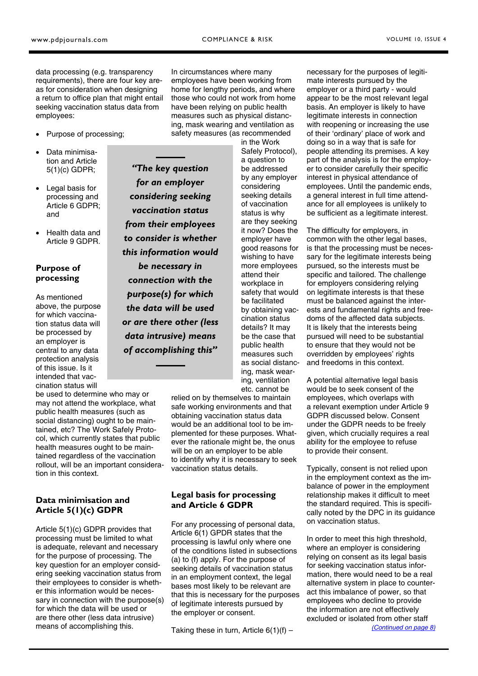<span id="page-1-0"></span>data processing (e.g. transparency requirements), there are four key areas for consideration when designing a return to office plan that might entail seeking vaccination status data from employees:

- Purpose of processing;
- Data minimisation and Article 5(1)(c) GDPR;
- Legal basis for processing and Article 6 GDPR; and
- Health data and Article 9 GDPR.

### **Purpose of processing**

As mentioned above, the purpose for which vaccination status data will be processed by an employer is central to any data protection analysis of this issue. Is it intended that vaccination status will

be used to determine who may or may not attend the workplace, what public health measures (such as social distancing) ought to be maintained, etc? The Work Safely Protocol, which currently states that public health measures ought to be maintained regardless of the vaccination rollout, will be an important consideration in this context.

### **Data minimisation and Article 5(1)(c) GDPR**

Article 5(1)(c) GDPR provides that processing must be limited to what is adequate, relevant and necessary for the purpose of processing. The key question for an employer considering seeking vaccination status from their employees to consider is whether this information would be necessary in connection with the purpose(s) for which the data will be used or are there other (less data intrusive) means of accomplishing this.

*"The key question for an employer considering seeking vaccination status from their employees to consider is whether this information would be necessary in connection with the purpose(s) for which the data will be used or are there other (less data intrusive) means of accomplishing this"* 

In circumstances where many employees have been working from home for lengthy periods, and where those who could not work from home have been relying on public health measures such as physical distancing, mask wearing and ventilation as safety measures (as recommended

> Safely Protocol), be addressed by any employer considering seeking details of vaccination are they seeking employer have good reasons for wishing to have more employees attend their workplace in safety that would be facilitated by obtaining vaccination status details? It may be the case that public health measures such as social distancing, mask wearing, ventilation etc. cannot be

relied on by themselves to maintain safe working environments and that obtaining vaccination status data would be an additional tool to be implemented for these purposes. Whatever the rationale might be, the onus will be on an employer to be able to identify why it is necessary to seek vaccination status details.

### **Legal basis for processing and Article 6 GDPR**

For any processing of personal data, Article 6(1) GPDR states that the processing is lawful only where one of the conditions listed in subsections (a) to (f) apply. For the purpose of seeking details of vaccination status in an employment context, the legal bases most likely to be relevant are that this is necessary for the purposes of legitimate interests pursued by the employer or consent.

Taking these in turn, Article  $6(1)(f)$  –

necessary for the purposes of legitimate interests pursued by the employer or a third party - would appear to be the most relevant legal basis. An employer is likely to have legitimate interests in connection with reopening or increasing the use of their 'ordinary' place of work and doing so in a way that is safe for people attending its premises. A key part of the analysis is for the employer to consider carefully their specific interest in physical attendance of employees. Until the pandemic ends, a general interest in full time attendance for all employees is unlikely to be sufficient as a legitimate interest.

The difficulty for employers, in common with the other legal bases. is that the processing must be necessary for the legitimate interests being pursued, so the interests must be specific and tailored. The challenge for employers considering relying on legitimate interests is that these must be balanced against the interests and fundamental rights and freedoms of the affected data subjects. It is likely that the interests being pursued will need to be substantial to ensure that they would not be overridden by employees' rights and freedoms in this context.

A potential alternative legal basis would be to seek consent of the employees, which overlaps with a relevant exemption under Article 9 GDPR discussed below. Consent under the GDPR needs to be freely given, which crucially requires a real ability for the employee to refuse to provide their consent.

Typically, consent is not relied upon in the employment context as the imbalance of power in the employment relationship makes it difficult to meet the standard required. This is specifically noted by the DPC in its guidance on vaccination status.

In order to meet this high threshold, where an employer is considering relying on consent as its legal basis for seeking vaccination status information, there would need to be a real alternative system in place to counteract this imbalance of power, so that employees who decline to provide the information are not effectively excluded or isolated from other staff *[\(Continued on page 8\)](#page-2-0)* 

in the Work a question to status is why it now? Does the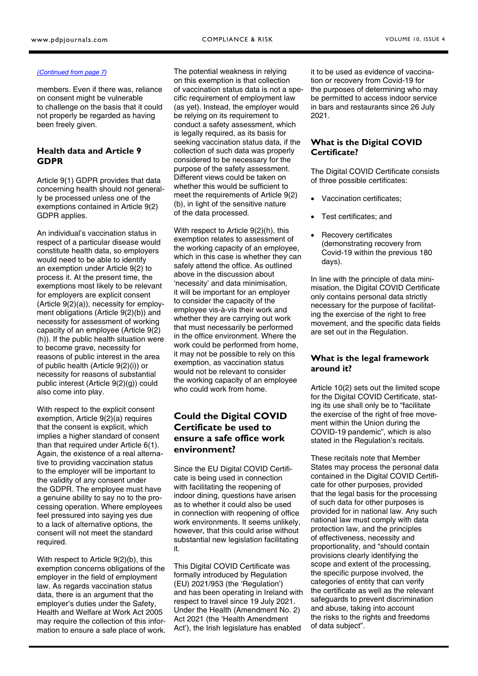#### <span id="page-2-0"></span>*[\(Continued from page 7\)](#page-1-0)*

members. Even if there was, reliance on consent might be vulnerable to challenge on the basis that it could not properly be regarded as having been freely given.

#### **Health data and Article 9 GDPR**

Article 9(1) GDPR provides that data concerning health should not generally be processed unless one of the exemptions contained in Article 9(2) GDPR applies.

An individual's vaccination status in respect of a particular disease would constitute health data, so employers would need to be able to identify an exemption under Article 9(2) to process it. At the present time, the exemptions most likely to be relevant for employers are explicit consent (Article 9(2)(a)), necessity for employment obligations (Article 9(2)(b)) and necessity for assessment of working capacity of an employee (Article 9(2) (h)). If the public health situation were to become grave, necessity for reasons of public interest in the area of public health (Article 9(2)(i)) or necessity for reasons of substantial public interest (Article 9(2)(g)) could also come into play.

With respect to the explicit consent exemption, Article 9(2)(a) requires that the consent is explicit, which implies a higher standard of consent than that required under Article 6(1). Again, the existence of a real alternative to providing vaccination status to the employer will be important to the validity of any consent under the GDPR. The employee must have a genuine ability to say no to the processing operation. Where employees feel pressured into saying yes due to a lack of alternative options, the consent will not meet the standard required.

With respect to Article 9(2)(b), this exemption concerns obligations of the employer in the field of employment law. As regards vaccination status data, there is an argument that the employer's duties under the Safety, Health and Welfare at Work Act 2005 may require the collection of this information to ensure a safe place of work. The potential weakness in relying on this exemption is that collection of vaccination status data is not a specific requirement of employment law (as yet). Instead, the employer would be relying on its requirement to conduct a safety assessment, which is legally required, as its basis for seeking vaccination status data, if the collection of such data was properly considered to be necessary for the purpose of the safety assessment. Different views could be taken on whether this would be sufficient to meet the requirements of Article 9(2) (b), in light of the sensitive nature of the data processed.

With respect to Article 9(2)(h), this exemption relates to assessment of the working capacity of an employee, which in this case is whether they can safely attend the office. As outlined above in the discussion about 'necessity' and data minimisation, it will be important for an employer to consider the capacity of the employee vis-à-vis their work and whether they are carrying out work that must necessarily be performed in the office environment. Where the work could be performed from home, it may not be possible to rely on this exemption, as vaccination status would not be relevant to consider the working capacity of an employee who could work from home.

# **Could the Digital COVID Certificate be used to ensure a safe office work environment?**

Since the EU Digital COVID Certificate is being used in connection with facilitating the reopening of indoor dining, questions have arisen as to whether it could also be used in connection with reopening of office work environments. It seems unlikely, however, that this could arise without substantial new legislation facilitating it.

This Digital COVID Certificate was formally introduced by Regulation (EU) 2021/953 (the 'Regulation') and has been operating in Ireland with respect to travel since 19 July 2021. Under the Health (Amendment No. 2) Act 2021 (the 'Health Amendment Act'), the Irish legislature has enabled

it to be used as evidence of vaccination or recovery from Covid-19 for the purposes of determining who may be permitted to access indoor service in bars and restaurants since 26 July 2021.

#### **What is the Digital COVID Certificate?**

The Digital COVID Certificate consists of three possible certificates:

- Vaccination certificates;
- Test certificates; and
- Recovery certificates (demonstrating recovery from Covid-19 within the previous 180 days).

In line with the principle of data minimisation, the Digital COVID Certificate only contains personal data strictly necessary for the purpose of facilitating the exercise of the right to free movement, and the specific data fields are set out in the Regulation.

#### **What is the legal framework around it?**

Article 10(2) sets out the limited scope for the Digital COVID Certificate, stating its use shall only be to "facilitate the exercise of the right of free movement within the Union during the COVID-19 pandemic", which is also stated in the Regulation's recitals.

These recitals note that Member States may process the personal data contained in the Digital COVID Certificate for other purposes, provided that the legal basis for the processing of such data for other purposes is provided for in national law. Any such national law must comply with data protection law, and the principles of effectiveness, necessity and proportionality, and "should contain provisions clearly identifying the scope and extent of the processing, the specific purpose involved, the categories of entity that can verify the certificate as well as the relevant safeguards to prevent discrimination and abuse, taking into account the risks to the rights and freedoms of data subject".